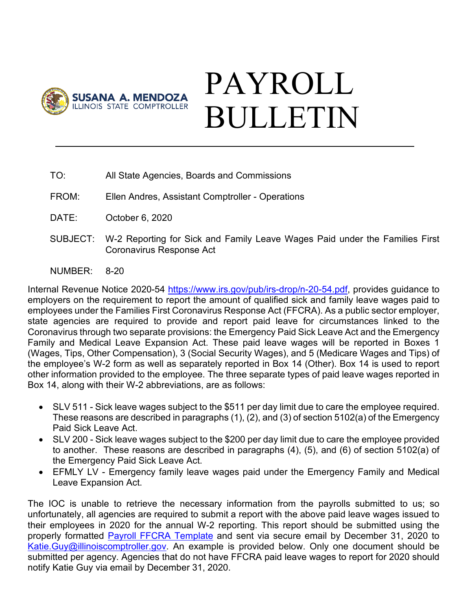

## PAYROLL BULLETIN

- TO: All State Agencies, Boards and Commissions
- FROM: Ellen Andres, Assistant Comptroller Operations
- DATE: October 6, 2020
- SUBJECT: W-2 Reporting for Sick and Family Leave Wages Paid under the Families First Coronavirus Response Act
- NUMBER: 8-20

Internal Revenue Notice 2020-54 [https://www.irs.gov/pub/irs-drop/n-20-54.pdf,](https://www.irs.gov/pub/irs-drop/n-20-54.pdf) provides guidance to employers on the requirement to report the amount of qualified sick and family leave wages paid to employees under the Families First Coronavirus Response Act (FFCRA). As a public sector employer, state agencies are required to provide and report paid leave for circumstances linked to the Coronavirus through two separate provisions: the Emergency Paid Sick Leave Act and the Emergency Family and Medical Leave Expansion Act. These paid leave wages will be reported in Boxes 1 (Wages, Tips, Other Compensation), 3 (Social Security Wages), and 5 (Medicare Wages and Tips) of the employee's W-2 form as well as separately reported in Box 14 (Other). Box 14 is used to report other information provided to the employee. The three separate types of paid leave wages reported in Box 14, along with their W-2 abbreviations, are as follows:

- SLV 511 Sick leave wages subject to the \$511 per day limit due to care the employee required. These reasons are described in paragraphs (1), (2), and (3) of section 5102(a) of the Emergency Paid Sick Leave Act.
- SLV 200 Sick leave wages subject to the \$200 per day limit due to care the employee provided to another. These reasons are described in paragraphs (4), (5), and (6) of section 5102(a) of the Emergency Paid Sick Leave Act.
- EFMLY LV Emergency family leave wages paid under the Emergency Family and Medical Leave Expansion Act.

The IOC is unable to retrieve the necessary information from the payrolls submitted to us; so unfortunately, all agencies are required to submit a report with the above paid leave wages issued to their employees in 2020 for the annual W-2 reporting. This report should be submitted using the properly formatted [Payroll FFCRA Template](https://illinoiscomptroller.gov/agencies/resource-library/accounting-forms/payroll-ffcra-template/) and sent via secure email by December 31, 2020 to [Katie.Guy@illinoiscomptroller.gov.](mailto:Katie.Guy@illinoiscomptroller.gov) An example is provided below. Only one document should be submitted per agency. Agencies that do not have FFCRA paid leave wages to report for 2020 should notify Katie Guy via email by December 31, 2020.